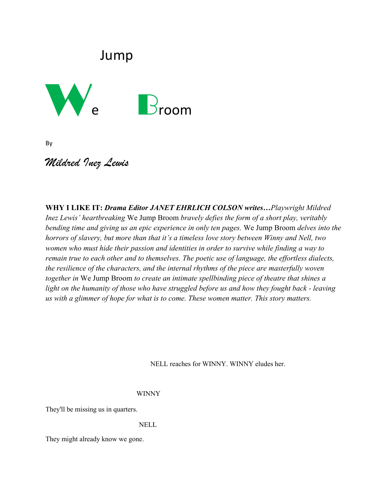# Jump



By

## *Mildred Inez Lewis*

**WHY I LIKE IT:** *Drama Editor JANET EHRLICH COLSON writes…Playwright Mildred Inez Lewis' heartbreaking* We Jump Broom *bravely defies the form of a short play, veritably bending time and giving us an epic experience in only ten pages.* We Jump Broom *delves into the horrors of slavery, but more than that it's a timeless love story between Winny and Nell, two women who must hide their passion and identities in order to survive while finding a way to remain true to each other and to themselves. The poetic use of language, the effortless dialects, the resilience of the characters, and the internal rhythms of the piece are masterfully woven together in* We Jump Broom *to create an intimate spellbinding piece of theatre that shines a light on the humanity of those who have struggled before us and how they fought back - leaving us with a glimmer of hope for what is to come. These women matter. This story matters.* 

NELL reaches for WINNY. WINNY eludes her.

#### WINNY

They'll be missing us in quarters.

### NELL

They might already know we gone.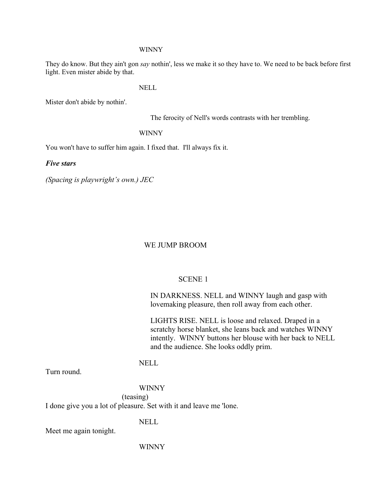#### WINNY

They do know. But they ain't gon *say* nothin', less we make it so they have to. We need to be back before first light. Even mister abide by that.

NELL

Mister don't abide by nothin'.

The ferocity of Nell's words contrasts with her trembling.

WINNY

You won't have to suffer him again. I fixed that. I'll always fix it.

*Five stars*

*(Spacing is playwright's own.) JEC*

#### WE JUMP BROOM

#### SCENE 1

IN DARKNESS. NELL and WINNY laugh and gasp with lovemaking pleasure, then roll away from each other.

LIGHTS RISE. NELL is loose and relaxed. Draped in a scratchy horse blanket, she leans back and watches WINNY intently. WINNY buttons her blouse with her back to NELL and the audience. She looks oddly prim.

## NELL

Turn round.

### WINNY

(teasing)

I done give you a lot of pleasure. Set with it and leave me 'lone.

NELL

Meet me again tonight.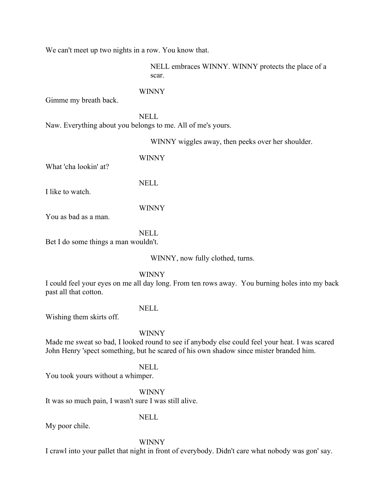We can't meet up two nights in a row. You know that.

NELL embraces WINNY. WINNY protects the place of a scar.

#### WINNY

Gimme my breath back.

NELL Naw. Everything about you belongs to me. All of me's yours.

WINNY wiggles away, then peeks over her shoulder.

What 'cha lookin' at?

I like to watch.

WINNY

NELL

WINNY

You as bad as a man.

NELL

Bet I do some things a man wouldn't.

WINNY, now fully clothed, turns.

WINNY

I could feel your eyes on me all day long. From ten rows away. You burning holes into my back past all that cotton.

NELL

Wishing them skirts off.

WINNY

Made me sweat so bad, I looked round to see if anybody else could feel your heat. I was scared John Henry 'spect something, but he scared of his own shadow since mister branded him.

NELL You took yours without a whimper.

WINNY

It was so much pain, I wasn't sure I was still alive.

NELL

My poor chile.

WINNY

I crawl into your pallet that night in front of everybody. Didn't care what nobody was gon' say.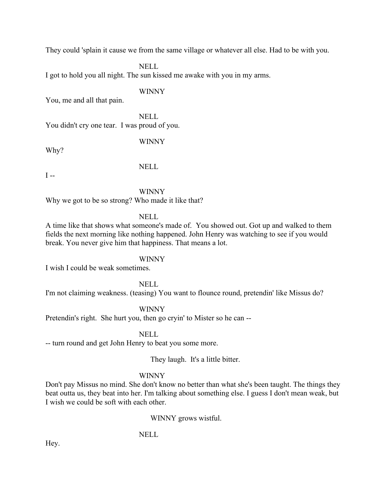They could 'splain it cause we from the same village or whatever all else. Had to be with you.

NELL I got to hold you all night. The sun kissed me awake with you in my arms.

#### WINNY

You, me and all that pain.

NELL You didn't cry one tear. I was proud of you.

WINNY

Why?

NELL

 $I -$ 

WINNY Why we got to be so strong? Who made it like that?

NELL

A time like that shows what someone's made of. You showed out. Got up and walked to them fields the next morning like nothing happened. John Henry was watching to see if you would break. You never give him that happiness. That means a lot.

WINNY

I wish I could be weak sometimes.

NELL

I'm not claiming weakness. (teasing) You want to flounce round, pretendin' like Missus do?

WINNY

Pretendin's right. She hurt you, then go cryin' to Mister so he can --

NELL

-- turn round and get John Henry to beat you some more.

They laugh. It's a little bitter.

#### WINNY

Don't pay Missus no mind. She don't know no better than what she's been taught. The things they beat outta us, they beat into her. I'm talking about something else. I guess I don't mean weak, but I wish we could be soft with each other.

WINNY grows wistful.

### NELL

Hey.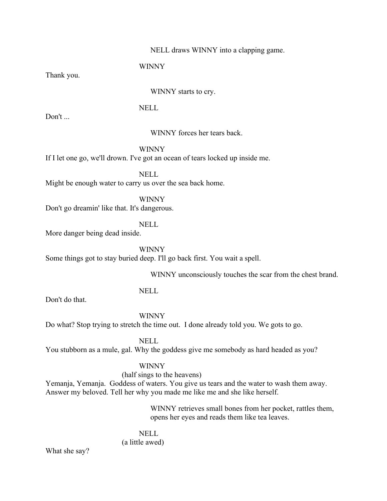### NELL draws WINNY into a clapping game.

WINNY

Thank you.

WINNY starts to cry.

NELL

Don't ...

WINNY forces her tears back.

WINNY

If I let one go, we'll drown. I've got an ocean of tears locked up inside me.

NELL Might be enough water to carry us over the sea back home.

WINNY Don't go dreamin' like that. It's dangerous.

NELL

More danger being dead inside.

WINNY

Some things got to stay buried deep. I'll go back first. You wait a spell.

WINNY unconsciously touches the scar from the chest brand.

NELL

Don't do that.

WINNY Do what? Stop trying to stretch the time out. I done already told you. We gots to go.

NELL You stubborn as a mule, gal. Why the goddess give me somebody as hard headed as you?

## WINNY

#### (half sings to the heavens)

Yemanja, Yemanja. Goddess of waters. You give us tears and the water to wash them away. Answer my beloved. Tell her why you made me like me and she like herself.

> WINNY retrieves small bones from her pocket, rattles them, opens her eyes and reads them like tea leaves.

NELL (a little awed)

What she say?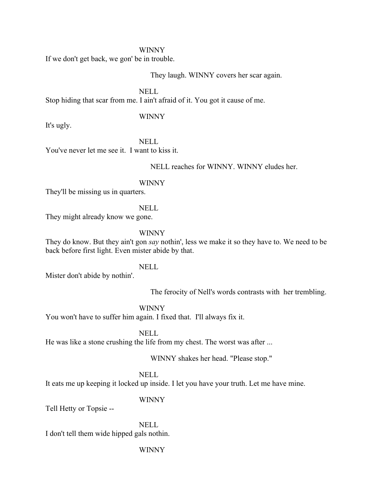#### WINNY

If we don't get back, we gon' be in trouble.

They laugh. WINNY covers her scar again.

NELL

Stop hiding that scar from me. I ain't afraid of it. You got it cause of me.

### WINNY

It's ugly.

NELL You've never let me see it. I want to kiss it.

NELL reaches for WINNY. WINNY eludes her.

#### WINNY

They'll be missing us in quarters.

#### NELL

They might already know we gone.

### WINNY

They do know. But they ain't gon *say* nothin', less we make it so they have to. We need to be back before first light. Even mister abide by that.

## NELL

Mister don't abide by nothin'.

The ferocity of Nell's words contrasts with her trembling.

#### WINNY

You won't have to suffer him again. I fixed that. I'll always fix it.

NELL

He was like a stone crushing the life from my chest. The worst was after ...

WINNY shakes her head. "Please stop."

#### NELL

It eats me up keeping it locked up inside. I let you have your truth. Let me have mine.

#### WINNY

Tell Hetty or Topsie --

NELL I don't tell them wide hipped gals nothin.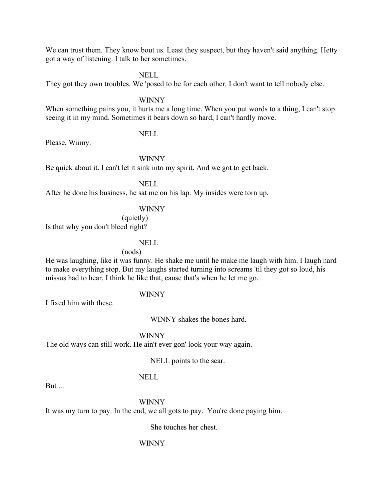We can trust them. They know bout us. Least they suspect, but they haven't said anything. Hetty got a way of listening. I talk to her sometimes.

NELL

They got they own troubles. We 'posed to be for each other. I don't want to tell nobody else.

WINNY

When something pains you, it hurts me a long time. When you put words to a thing, I can't stop seeing it in my mind. Sometimes it bears down so hard, I can't hardly move.

NELL

Please, Winny.

WINNY

Be quick about it. I can't let it sink into my spirit. And we got to get back.

NELL

After he done his business, he sat me on his lap. My insides were torn up.

#### WINNY

(quietly) Is that why you don't bleed right?

### NELL

(nods)

He was laughing, like it was funny. He shake me until he make me laugh with him. I laugh hard to make everything stop. But my laughs started turning into screams 'til they got so loud, his missus had to hear. I think he like that, cause that's when he let me go.

#### WINNY

I fixed him with these.

WINNY shakes the bones hard.

WINNY The old ways can still work. He ain't ever gon' look your way again.

NELL points to the scar.

NELL

But ...

WINNY It was my turn to pay. In the end, we all gots to pay. You're done paying him.

She touches her chest.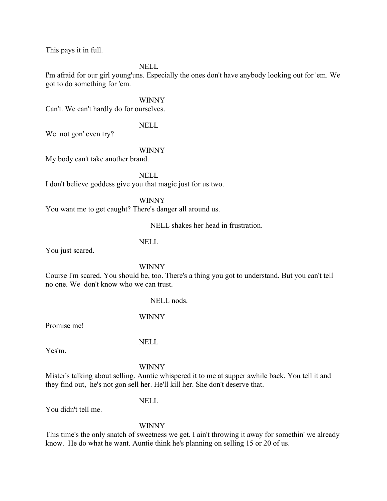This pays it in full.

NELL

I'm afraid for our girl young'uns. Especially the ones don't have anybody looking out for 'em. We got to do something for 'em.

WINNY

Can't. We can't hardly do for ourselves.

NELL

We not gon' even try?

#### WINNY

My body can't take another brand.

NELL I don't believe goddess give you that magic just for us two.

WINNY You want me to get caught? There's danger all around us.

NELL shakes her head in frustration.

NELL

You just scared.

WINNY

Course I'm scared. You should be, too. There's a thing you got to understand. But you can't tell no one. We don't know who we can trust.

NELL nods.

WINNY

Promise me!

NELL

Yes'm.

WINNY

Mister's talking about selling. Auntie whispered it to me at supper awhile back. You tell it and they find out, he's not gon sell her. He'll kill her. She don't deserve that.

NELL

You didn't tell me.

WINNY

This time's the only snatch of sweetness we get. I ain't throwing it away for somethin' we already know. He do what he want. Auntie think he's planning on selling 15 or 20 of us.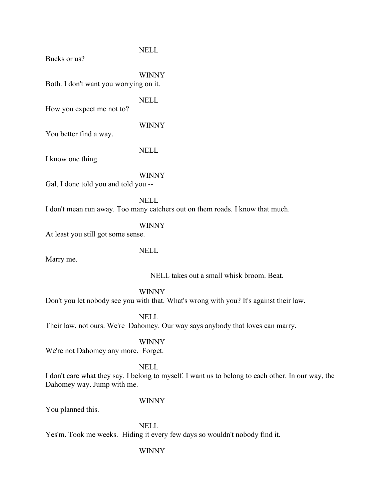Bucks or us?

WINNY Both. I don't want you worrying on it.

NELL

NELL

How you expect me not to?

WINNY

You better find a way.

NELL

I know one thing.

WINNY

Gal, I done told you and told you --

NELL I don't mean run away. Too many catchers out on them roads. I know that much.

WINNY

At least you still got some sense.

NELL

Marry me.

NELL takes out a small whisk broom. Beat.

WINNY

Don't you let nobody see you with that. What's wrong with you? It's against their law.

NELL

Their law, not ours. We're Dahomey. Our way says anybody that loves can marry.

WINNY

We're not Dahomey any more. Forget.

NELL

I don't care what they say. I belong to myself. I want us to belong to each other. In our way, the Dahomey way. Jump with me.

WINNY

You planned this.

NELL Yes'm. Took me weeks. Hiding it every few days so wouldn't nobody find it.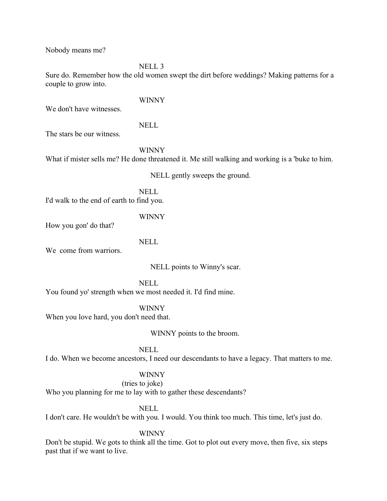Nobody means me?

NELL 3

Sure do. Remember how the old women swept the dirt before weddings? Making patterns for a couple to grow into.

We don't have witnesses.

## NELL

WINNY

The stars be our witness.

WINNY

What if mister sells me? He done threatened it. Me still walking and working is a 'buke to him.

NELL gently sweeps the ground.

NELL I'd walk to the end of earth to find you.

### WINNY

How you gon' do that?

NELL

We come from warriors.

NELL points to Winny's scar.

NELL

You found yo' strength when we most needed it. I'd find mine.

WINNY

When you love hard, you don't need that.

WINNY points to the broom.

#### NELL

I do. When we become ancestors, I need our descendants to have a legacy. That matters to me.

## WINNY

## (tries to joke)

Who you planning for me to lay with to gather these descendants?

## NELL

I don't care. He wouldn't be with you. I would. You think too much. This time, let's just do.

#### WINNY

Don't be stupid. We gots to think all the time. Got to plot out every move, then five, six steps past that if we want to live.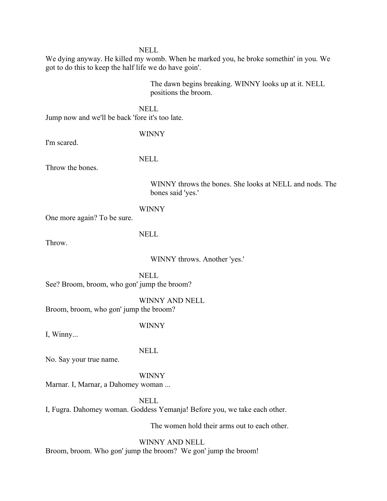NELL

We dying anyway. He killed my womb. When he marked you, he broke somethin' in you. We got to do this to keep the half life we do have goin'.

> The dawn begins breaking. WINNY looks up at it. NELL positions the broom.

NELL Jump now and we'll be back 'fore it's too late.

I'm scared.

WINNY

Throw the bones.

NELL

WINNY throws the bones. She looks at NELL and nods. The bones said 'yes.'

WINNY

One more again? To be sure.

Throw.

NELL

WINNY throws. Another 'yes.'

NELL See? Broom, broom, who gon' jump the broom?

WINNY AND NELL Broom, broom, who gon' jump the broom?

WINNY

I, Winny...

NELL

No. Say your true name.

WINNY

Marnar. I, Marnar, a Dahomey woman ...

NELL

I, Fugra. Dahomey woman. Goddess Yemanja! Before you, we take each other.

The women hold their arms out to each other.

WINNY AND NELL

Broom, broom. Who gon' jump the broom? We gon' jump the broom!